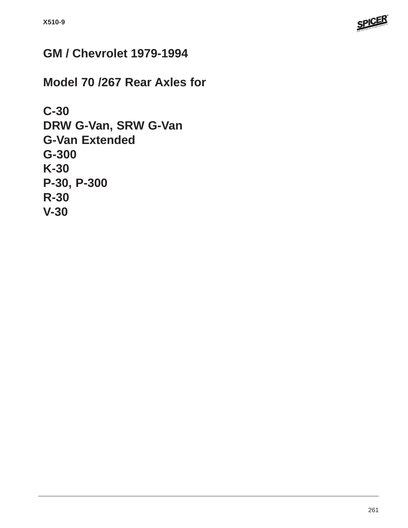

# **GM / Chevrolet 1979-1994**

**Model 70 /267 Rear Axles for**

```
C-30
DRW G-Van, SRW G-Van
G-Van Extended
G-300
K-30
P-30, P-300
R-30
V-30
```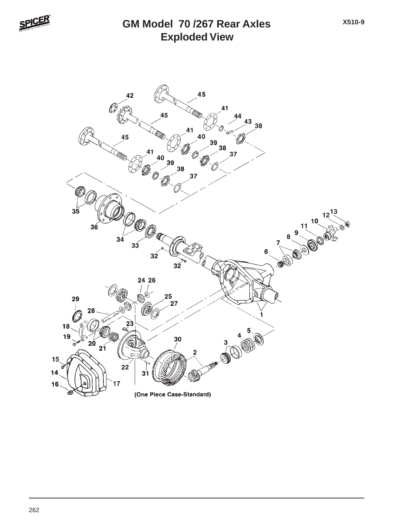

### **Exploded View GM Model 70 /267 Rear Axles**

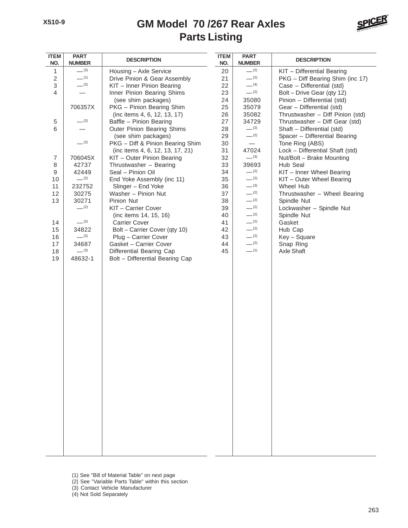## **Parts Listing GM Model 70 /267 Rear Axles**



| <b>ITEM</b><br>NO.        | <b>PART</b><br><b>NUMBER</b>  | <b>DESCRIPTION</b>               | <b>ITEM</b><br>NO. | <b>PART</b><br><b>NUMBER</b> | <b>DESCRIPTION</b>               |
|---------------------------|-------------------------------|----------------------------------|--------------------|------------------------------|----------------------------------|
| 1                         | $-^{(3)}$                     | Housing - Axle Service           | 20                 | $-^{(2)}$                    | KIT - Differential Bearing       |
| $\sqrt{2}$                | $-$ (1)                       | Drive Pinion & Gear Assembly     | 21                 | $- (2)$                      | PKG - Diff Bearing Shim (inc 17) |
| $\ensuremath{\mathsf{3}}$ | $-^{(2)}$                     | KIT - Inner Pinion Bearing       | 22                 | $-$ (4)                      | Case - Differential (std)        |
| $\overline{4}$            | $\overline{\phantom{0}}$      | Inner Pinion Bearing Shims       | 23                 | $-^{(2)}$                    | Bolt - Drive Gear (qty 12)       |
|                           |                               | (see shim packages)              | 24                 | 35080                        | Pinion - Differential (std)      |
|                           | 706357X                       | PKG - Pinion Bearing Shim        | 25                 | 35079                        | Gear - Differential (std)        |
|                           |                               | (inc items 4, 6, 12, 13, 17)     | 26                 | 35082                        | Thrustwasher - Diff Pinion (std) |
| $\,$ 5 $\,$               | $-^{(2)}$                     | Baffle - Pinion Bearing          | 27                 | 34729                        | Thrustwasher - Diff Gear (std)   |
| 6                         | $\overbrace{\phantom{12333}}$ | Outer Pinion Bearing Shims       | 28                 | $-^{(2)}$                    | Shaft - Differential (std)       |
|                           |                               | (see shim packages)              | 29                 | $-^{(2)}$                    | Spacer - Differential Bearing    |
|                           | $-^{(2)}$                     | PKG - Diff & Pinion Bearing Shim | 30                 |                              | Tone Ring (ABS)                  |
|                           |                               | (inc items 4, 6, 12, 13, 17, 21) | 31                 | 47024                        | Lock - Differential Shaft (std)  |
| $\overline{7}$            | 706045X                       | KIT - Outer Pinion Bearing       | 32                 | $-^{(3)}$                    | Nut/Bolt - Brake Mounting        |
| 8                         | 42737                         | Thrustwasher - Bearing           | 33                 | 39693                        | Hub Seal                         |
| $\boldsymbol{9}$          | 42449                         | Seal - Pinion Oil                | 34                 | $-^{(2)}$                    | KIT - Inner Wheel Bearing        |
| 10                        | $-^{(2)}$                     | End Yoke Assembly (inc 11)       | 35                 | $-^{(2)}$                    | KIT - Outer Wheel Bearing        |
| 11                        | 232752                        | Slinger - End Yoke               | 36                 | $-^{(3)}$                    | Wheel Hub                        |
| 12                        | 30275                         | Washer - Pinion Nut              | 37                 | $-^{(2)}$                    | Thrustwasher - Wheel Bearing     |
| 13                        | 30271                         | Pinion Nut                       | 38                 | $-^{(2)}$                    | Spindle Nut                      |
|                           | $-^{(2)}$                     | KIT - Carrier Cover              | 39                 | $-^{(2)}$                    | Lockwasher - Spindle Nut         |
|                           |                               | (inc items 14, 15, 16)           | 40                 | $-^{(2)}$                    | Spindle Nut                      |
| 14                        | $-^{(2)}$                     | <b>Carrier Cover</b>             | 41                 | $-^{(2)}$                    | Gasket                           |
| 15                        | 34822                         | Bolt - Carrier Cover (qty 10)    | 42                 | $-^{(2)}$                    | Hub Cap                          |
| 16                        | $-^{(2)}$                     | Plug - Carrier Cover             | 43                 | $-^{(2)}$                    | Key - Square                     |
| 17                        | 34687                         | Gasket - Carrier Cover           | 44                 | $-^{(2)}$                    | Snap Ring                        |
| 18                        | $-^{(3)}$                     | Differential Bearing Cap         | 45                 | $-$ (1)                      | Axle Shaft                       |
| 19                        | 48632-1                       | Bolt - Differential Bearing Cap  |                    |                              |                                  |
|                           |                               |                                  |                    |                              |                                  |
|                           |                               |                                  |                    |                              |                                  |
|                           |                               |                                  |                    |                              |                                  |
|                           |                               |                                  |                    |                              |                                  |
|                           |                               |                                  |                    |                              |                                  |
|                           |                               |                                  |                    |                              |                                  |
|                           |                               |                                  |                    |                              |                                  |
|                           |                               |                                  |                    |                              |                                  |
|                           |                               |                                  |                    |                              |                                  |
|                           |                               |                                  |                    |                              |                                  |
|                           |                               |                                  |                    |                              |                                  |
|                           |                               |                                  |                    |                              |                                  |
|                           |                               |                                  |                    |                              |                                  |
|                           |                               |                                  |                    |                              |                                  |
|                           |                               |                                  |                    |                              |                                  |
|                           |                               |                                  |                    |                              |                                  |
|                           |                               |                                  |                    |                              |                                  |
|                           |                               |                                  |                    |                              |                                  |
|                           |                               |                                  |                    |                              |                                  |
|                           |                               |                                  |                    |                              |                                  |
|                           |                               |                                  |                    |                              |                                  |
|                           |                               |                                  |                    |                              |                                  |
|                           |                               |                                  |                    |                              |                                  |
|                           |                               |                                  |                    |                              |                                  |
|                           |                               |                                  |                    |                              |                                  |
|                           |                               |                                  |                    |                              |                                  |
|                           |                               |                                  |                    |                              |                                  |

- (1) See "Bill of Material Table" on next page
- (2) See "Variable Parts Table" within this section
- (3) Contact Vehicle Manufacturer
- (4) Not Sold Separately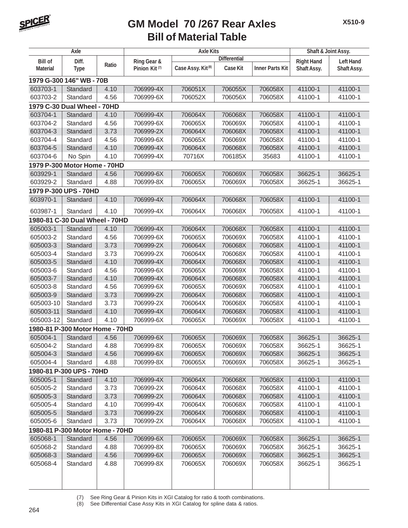

| Axle            |                                 |       | <b>Axle Kits</b>          | Shaft & Joint Assy.           |                     |                        |                   |                  |
|-----------------|---------------------------------|-------|---------------------------|-------------------------------|---------------------|------------------------|-------------------|------------------|
| <b>Bill of</b>  | Diff.                           |       | Ring Gear &               |                               | <b>Differential</b> |                        | <b>Right Hand</b> | <b>Left Hand</b> |
| <b>Material</b> | <b>Type</b>                     | Ratio | Pinion Kit <sup>(7)</sup> | Case Assy. Kit <sup>(8)</sup> | Case Kit            | <b>Inner Parts Kit</b> | Shaft Assy.       | Shaft Assy.      |
|                 | 1979 G-300 146" WB - 70B        |       |                           |                               |                     |                        |                   |                  |
| 603703-1        | Standard                        | 4.10  | 706999-4X                 | 706051X                       | 706055X             | 706058X                | 41100-1           | 41100-1          |
| 603703-2        | Standard                        | 4.56  | 706999-6X                 | 706052X                       | 706056X             | 706058X                | 41100-1           | 41100-1          |
|                 | 1979 C-30 Dual Wheel - 70HD     |       |                           |                               |                     |                        |                   |                  |
| 603704-1        | Standard                        | 4.10  | 706999-4X                 | 706064X                       | 706068X             | 706058X                | 41100-1           | 41100-1          |
| 603704-2        | Standard                        | 4.56  | 706999-6X                 | 706065X                       | 706069X             | 706058X                | 41100-1           | 41100-1          |
| 603704-3        | Standard                        | 3.73  | 706999-2X                 | 706064X                       | 706068X             | 706058X                | 41100-1           | 41100-1          |
| 603704-4        | Standard                        | 4.56  | 706999-6X                 | 706065X                       | 706069X             | 706058X                | 41100-1           | 41100-1          |
| 603704-5        | Standard                        | 4.10  | 706999-4X                 | 706064X                       | 706068X             | 706058X                | 41100-1           | 41100-1          |
| 603704-6        | No Spin                         | 4.10  | 706999-4X                 | 70716X                        | 706185X             | 35683                  | 41100-1           | 41100-1          |
|                 | 1979 P-300 Motor Home - 70HD    |       |                           |                               |                     |                        |                   |                  |
| 603929-1        | Standard                        | 4.56  | 706999-6X                 | 706065X                       | 706069X             | 706058X                | 36625-1           | 36625-1          |
| 603929-2        | Standard                        | 4.88  | 706999-8X                 | 706065X                       | 706069X             | 706058X                | 36625-1           | 36625-1          |
|                 | 1979 P-300 UPS - 70HD           |       |                           |                               |                     |                        |                   |                  |
| 603970-1        | Standard                        | 4.10  | 706999-4X                 | 706064X                       | 706068X             | 706058X                | 41100-1           | 41100-1          |
| 603987-1        | Standard                        | 4.10  | 706999-4X                 | 706064X                       | 706068X             | 706058X                | 41100-1           | 41100-1          |
|                 | 1980-81 C-30 Dual Wheel - 70HD  |       |                           |                               |                     |                        |                   |                  |
| 605003-1        | Standard                        | 4.10  | 706999-4X                 | 706064X                       | 706068X             | 706058X                | 41100-1           | 41100-1          |
| 605003-2        | Standard                        | 4.56  | 706999-6X                 | 706065X                       | 706069X             | 706058X                | 41100-1           | 41100-1          |
| 605003-3        | Standard                        | 3.73  | 706999-2X                 | 706064X                       | 706068X             | 706058X                | 41100-1           | 41100-1          |
| 605003-4        | Standard                        | 3.73  | 706999-2X                 | 706064X                       | 706068X             | 706058X                | 41100-1           | 41100-1          |
| 605003-5        | Standard                        | 4.10  | 706999-4X                 | 706064X                       | 706068X             | 706058X                | 41100-1           | 41100-1          |
| 605003-6        | Standard                        | 4.56  | 706999-6X                 | 706065X                       | 706069X             | 706058X                | 41100-1           | 41100-1          |
| 605003-7        | Standard                        | 4.10  | 706999-4X                 | 706064X                       | 706068X             | 706058X                | 41100-1           | 41100-1          |
| 605003-8        | Standard                        | 4.56  | 706999-6X                 | 706065X                       | 706069X             | 706058X                | 41100-1           | 41100-1          |
| 605003-9        | Standard                        | 3.73  | 706999-2X                 | 706064X                       | 706068X             | 706058X                | 41100-1           | 41100-1          |
| 605003-10       | Standard                        | 3.73  | 706999-2X                 | 706064X                       | 706068X             | 706058X                | 41100-1           | 41100-1          |
| 605003-11       | Standard                        | 4.10  | 706999-4X                 | 706064X                       | 706068X             | 706058X                | 41100-1           | 41100-1          |
| 605003-12       | Standard                        | 4.10  | 706999-6X                 | 706065X                       | 706069X             | 706058X                | 41100-1           | 41100-1          |
|                 | 1980-81 P-300 Motor Home - 70HD |       |                           |                               |                     |                        |                   |                  |
| 605004-1        | Standard                        | 4.56  | 706999-6X                 | 706065X                       | 706069X             | 706058X                | 36625-1           | 36625-1          |
| 605004-2        | Standard                        | 4.88  | 706999-8X                 | 706065X                       | 706069X             | 706058X                | 36625-1           | 36625-1          |
| 605004-3        | Standard                        | 4.56  | 706999-6X                 | 706065X                       | 706069X             | 706058X                | 36625-1           | 36625-1          |
| 605004-4        | Standard                        | 4.88  | 706999-8X                 | 706065X                       | 706069X             | 706058X                | 36625-1           | 36625-1          |
|                 | 1980-81 P-300 UPS - 70HD        |       |                           |                               |                     |                        |                   |                  |
| 605005-1        | Standard                        | 4.10  | 706999-4X                 | 706064X                       | 706068X             | 706058X                | 41100-1           | 41100-1          |
| 605005-2        | Standard                        | 3.73  | 706999-2X                 | 706064X                       | 706068X             | 706058X                | 41100-1           | 41100-1          |
| 605005-3        | Standard                        | 3.73  | 706999-2X                 | 706064X                       | 706068X             | 706058X                | 41100-1           | 41100-1          |
| 605005-4        | Standard                        | 4.10  | 706999-4X                 | 706064X                       | 706068X             | 706058X                | 41100-1           | 41100-1          |
| 605005-5        | Standard                        | 3.73  | 706999-2X                 | 706064X                       | 706068X             | 706058X                | 41100-1           | 41100-1          |
| 605005-6        | Standard                        | 3.73  | 706999-2X                 | 706064X                       | 706068X             | 706058X                | 41100-1           | 41100-1          |
|                 | 1980-81 P-300 Motor Home - 70HD |       |                           |                               |                     |                        |                   |                  |
| 605068-1        | Standard                        | 4.56  | 706999-6X                 | 706065X                       | 706069X             | 706058X                | 36625-1           | 36625-1          |
| 605068-2        | Standard                        | 4.88  | 706999-8X                 | 706065X                       | 706069X             | 706058X                | 36625-1           | 36625-1          |
| 605068-3        | Standard                        | 4.56  | 706999-6X                 | 706065X                       | 706069X             | 706058X                | 36625-1           | 36625-1          |
| 605068-4        | Standard                        | 4.88  | 706999-8X                 | 706065X                       | 706069X             | 706058X                | 36625-1           | 36625-1          |
|                 |                                 |       |                           |                               |                     |                        |                   |                  |
|                 |                                 |       |                           |                               |                     |                        |                   |                  |

(7) See Ring Gear & Pinion Kits in XGI Catalog for ratio & tooth combinations.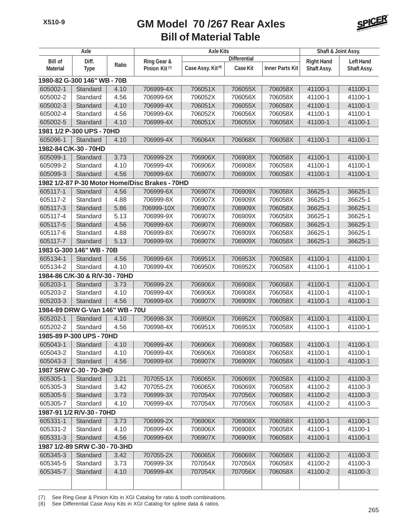

|                             | Axle                            |       |                                                | <b>Axle Kits</b>              |                     |                        | Shaft & Joint Assy. |                  |
|-----------------------------|---------------------------------|-------|------------------------------------------------|-------------------------------|---------------------|------------------------|---------------------|------------------|
| <b>Bill of</b>              | Diff.                           |       | Ring Gear &                                    |                               | <b>Differential</b> |                        | <b>Right Hand</b>   | <b>Left Hand</b> |
| <b>Material</b>             | <b>Type</b>                     | Ratio | Pinion Kit <sup>(7)</sup>                      | Case Assy. Kit <sup>(8)</sup> | <b>Case Kit</b>     | <b>Inner Parts Kit</b> | Shaft Assy.         | Shaft Assy.      |
| 1980-82 G-300 146" WB - 70B |                                 |       |                                                |                               |                     |                        |                     |                  |
| 605002-1                    | Standard                        | 4.10  | 706999-4X                                      | 706051X                       | 706055X             | 706058X                | 41100-1             | 41100-1          |
| 605002-2                    | Standard                        | 4.56  | 706999-6X                                      | 706052X                       | 706056X             | 706058X                | 41100-1             | 41100-1          |
| 605002-3                    | Standard                        | 4.10  | 706999-4X                                      | 706051X                       | 706055X             | 706058X                | 41100-1             | 41100-1          |
| 605002-4                    | Standard                        | 4.56  | 706999-6X                                      | 706052X                       | 706056X             | 706058X                | 41100-1             | 41100-1          |
| 605002-5                    | Standard                        | 4.10  | 706999-4X                                      | 706051X                       | 706055X             | 706058X                | 41100-1             | 41100-1          |
|                             | 1981 1/2 P-300 UPS - 70HD       |       |                                                |                               |                     |                        |                     |                  |
| 605096-1                    | Standard                        | 4.10  | 706999-4X                                      | 706064X                       | 706068X             | 706058X                | 41100-1             | 41100-1          |
|                             | 1982-84 C/K-30 - 70HD           |       |                                                |                               |                     |                        |                     |                  |
| 605099-1                    | Standard                        | 3.73  | 706999-2X                                      | 706906X                       | 706908X             | 706058X                | 41100-1             | 41100-1          |
| 605099-2                    | Standard                        | 4.10  | 706999-4X                                      | 706906X                       | 706908X             | 706058X                | 41100-1             | 41100-1          |
| 605099-3                    | Standard                        | 4.56  | 706999-6X                                      | 706907X                       | 706909X             | 706058X                | 41100-1             | 41100-1          |
|                             |                                 |       | 1982 1/2-87 P-30 Motor Home/Disc Brakes - 70HD |                               |                     |                        |                     |                  |
| 605117-1                    | Standard                        | 4.56  | 706999-6X                                      | 706907X                       | 706909X             | 706058X                | 36625-1             | 36625-1          |
| 605117-2                    | Standard                        | 4.88  | 706999-8X                                      | 706907X                       | 706909X             | 706058X                | 36625-1             | 36625-1          |
| 605117-3                    | Standard                        | 5.86  | 706999-10X                                     | 706907X                       | 706909X             | 706058X                | 36625-1             | 36625-1          |
| 605117-4                    | Standard                        | 5.13  | 706999-9X                                      | 706907X                       | 706909X             | 706058X                | 36625-1             | 36625-1          |
| 605117-5                    | Standard                        | 4.56  | 706999-6X                                      | 706907X                       | 706909X             | 706058X                | 36625-1             | 36625-1          |
| 605117-6                    | Standard                        | 4.88  | 706999-8X                                      | 706907X                       | 706909X             | 706058X                | 36625-1             | 36625-1          |
| 605117-7                    | Standard                        | 5.13  | 706999-9X                                      | 706907X                       | 706909X             | 706058X                | 36625-1             | 36625-1          |
|                             | 1983 G-300 146" WB - 70B        |       |                                                |                               |                     |                        |                     |                  |
| 605134-1                    | Standard                        | 4.56  | 706999-6X                                      | 706951X                       | 706953X             | 706058X                | 41100-1             | 41100-1          |
| 605134-2                    | Standard                        | 4.10  | 706999-4X                                      | 706950X                       | 706952X             | 706058X                | 41100-1             | 41100-1          |
|                             | 1984-86 C/K-30 & R/V-30 - 70HD  |       |                                                |                               |                     |                        |                     |                  |
| 605203-1                    | Standard                        | 3.73  | 706999-2X                                      | 706906X                       | 706908X             | 706058X                | 41100-1             | 41100-1          |
| 605203-2                    | Standard                        | 4.10  | 706999-4X                                      | 706906X                       | 706908X             | 706058X                | 41100-1             | 41100-1          |
| 605203-3                    | Standard                        | 4.56  | 706999-6X                                      | 706907X                       | 706909X             | 706058X                | 41100-1             | 41100-1          |
|                             | 1984-89 DRW G-Van 146" WB - 70U |       |                                                |                               |                     |                        |                     |                  |
| 605202-1                    | Standard                        | 4.10  | 706998-3X                                      | 706950X                       | 706952X             | 706058X                | 41100-1             | 41100-1          |
| 605202-2                    | Standard                        | 4.56  | 706998-4X                                      | 706951X                       | 706953X             | 706058X                | 41100-1             | 41100-1          |
|                             | 1985-89 P-300 UPS - 70HD        |       |                                                |                               |                     |                        |                     |                  |
| 605043-1                    | Standard                        | 4.10  | 706999-4X                                      | 706906X                       | 706908X             | 706058X                | 41100-1             | 41100-1          |
| 605043-2                    | Standard                        | 4.10  | 706999-4X                                      | 706906X                       | 706908X             | 706058X                | 41100-1             | 41100-1          |
| 605043-3                    | Standard                        | 4.56  | 706999-6X                                      | 706907X                       | 706909X             | 706058X                | 41100-1             | 41100-1          |
|                             | 1987 SRW C-30 - 70-3HD          |       |                                                |                               |                     |                        |                     |                  |
| 605305-1                    | Standard                        | 3.21  | 707055-1X                                      | 706065X                       | 706069X             | 706058X                | 41100-2             | 41100-3          |
| 605305-3                    | Standard                        | 3.42  | 707055-2X                                      | 706065X                       | 706069X             | 706058X                | 41100-2             | 41100-3          |
| 605305-5                    | Standard                        | 3.73  | 706999-3X                                      | 707054X                       | 707056X             | 706058X                | 41100-2             | 41100-3          |
| 605305-7                    | Standard                        | 4.10  | 706999-4X                                      | 707054X                       | 707056X             | 706058X                | 41100-2             | 41100-3          |
|                             | 1987-91 1/2 R/V-30 - 70HD       |       |                                                |                               |                     |                        |                     |                  |
| 605331-1                    | Standard                        | 3.73  | 706999-2X                                      | 706906X                       | 706908X             | 706058X                | 41100-1             | 41100-1          |
| 605331-2                    | Standard                        | 4.10  | 706999-4X                                      | 706906X                       | 706908X             | 706058X                | 41100-1             | 41100-1          |
| 605331-3                    | Standard                        | 4.56  | 706999-6X                                      | 706907X                       | 706909X             | 706058X                | 41100-1             | 41100-1          |
|                             | 1987 1/2-89 SRW C-30 - 70-3HD   |       |                                                |                               |                     |                        |                     |                  |
| 605345-3                    | Standard                        | 3.42  | 707055-2X                                      | 706065X                       | 706069X             | 706058X                | 41100-2             | 41100-3          |
| 605345-5                    | Standard                        | 3.73  | 706999-3X                                      | 707054X                       | 707056X             | 706058X                | 41100-2             | 41100-3          |
| 605345-7                    | Standard                        | 4.10  | 706999-4X                                      | 707054X                       | 707056X             | 706058X                | 41100-2             | 41100-3          |
|                             |                                 |       |                                                |                               |                     |                        |                     |                  |

(7) See Ring Gear & Pinion Kits in XGI Catalog for ratio & tooth combinations.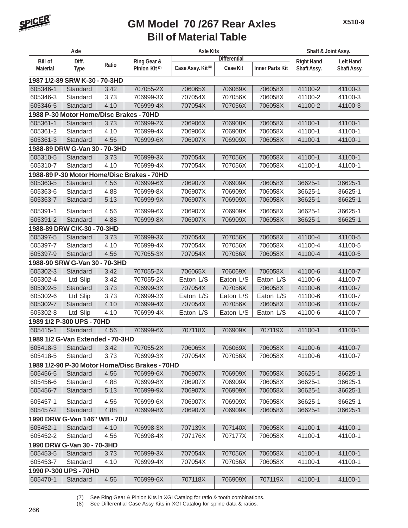

| Axle            |                                  |       | <b>Axle Kits</b>                               | Shaft & Joint Assy.           |                     |                        |                   |                  |
|-----------------|----------------------------------|-------|------------------------------------------------|-------------------------------|---------------------|------------------------|-------------------|------------------|
| <b>Bill of</b>  | Diff.                            |       | Ring Gear &                                    |                               | <b>Differential</b> |                        | <b>Right Hand</b> | <b>Left Hand</b> |
| <b>Material</b> | <b>Type</b>                      | Ratio | Pinion Kit <sup>(7)</sup>                      | Case Assy. Kit <sup>(8)</sup> | <b>Case Kit</b>     | <b>Inner Parts Kit</b> | Shaft Assy.       | Shaft Assy.      |
|                 | 1987 1/2-89 SRW K-30 - 70-3HD    |       |                                                |                               |                     |                        |                   |                  |
| 605346-1        | Standard                         | 3.42  | 707055-2X                                      | 706065X                       | 706069X             | 706058X                | 41100-2           | 41100-3          |
| 605346-3        | Standard                         | 3.73  | 706999-3X                                      | 707054X                       | 707056X             | 706058X                | 41100-2           | 41100-3          |
| 605346-5        | Standard                         | 4.10  | 706999-4X                                      | 707054X                       | 707056X             | 706058X                | 41100-2           | 41100-3          |
|                 |                                  |       | 1988 P-30 Motor Home/Disc Brakes - 70HD        |                               |                     |                        |                   |                  |
| 605361-1        | Standard                         | 3.73  | 706999-2X                                      | 706906X                       | 706908X             | 706058X                | 41100-1           | 41100-1          |
| 605361-2        | Standard                         | 4.10  | 706999-4X                                      | 706906X                       | 706908X             | 706058X                | 41100-1           | 41100-1          |
| 605361-3        | Standard                         | 4.56  | 706999-6X                                      | 706907X                       | 706909X             | 706058X                | 41100-1           | 41100-1          |
|                 | 1988-89 DRW G-Van 30 - 70-3HD    |       |                                                |                               |                     |                        |                   |                  |
| 605310-5        | Standard                         | 3.73  | 706999-3X                                      | 707054X                       | 707056X             | 706058X                | 41100-1           | 41100-1          |
| 605310-7        | Standard                         | 4.10  | 706999-4X                                      | 707054X                       | 707056X             | 706058X                | 41100-1           | 41100-1          |
|                 |                                  |       | 1988-89 P-30 Motor Home/Disc Brakes - 70HD     |                               |                     |                        |                   |                  |
| 605363-5        | Standard                         | 4.56  | 706999-6X                                      | 706907X                       | 706909X             | 706058X                | 36625-1           | 36625-1          |
| 605363-6        | Standard                         | 4.88  | 706999-8X                                      | 706907X                       | 706909X             | 706058X                | 36625-1           | 36625-1          |
| 605363-7        | Standard                         | 5.13  | 706999-9X                                      | 706907X                       | 706909X             | 706058X                | 36625-1           | 36625-1          |
| 605391-1        | Standard                         | 4.56  | 706999-6X                                      | 706907X                       | 706909X             | 706058X                | 36625-1           | 36625-1          |
| 605391-2        | Standard                         | 4.88  | 706999-8X                                      | 706907X                       | 706909X             | 706058X                | 36625-1           | 36625-1          |
|                 | 1988-89 DRW C/K-30 - 70-3HD      |       |                                                |                               |                     |                        |                   |                  |
| 605397-5        | Standard                         | 3.73  | 706999-3X                                      | 707054X                       | 707056X             | 706058X                | 41100-4           | 41100-5          |
| 605397-7        | Standard                         | 4.10  | 706999-4X                                      | 707054X                       | 707056X             | 706058X                | 41100-4           | 41100-5          |
| 605397-9        | Standard                         | 4.56  | 707055-3X                                      | 707054X                       | 707056X             | 706058X                | 41100-4           | 41100-5          |
|                 | 1988-90 SRW G-Van 30 - 70-3HD    |       |                                                |                               |                     |                        |                   |                  |
| 605302-3        | Standard                         | 3.42  | 707055-2X                                      | 706065X                       | 706069X             | 706058X                | 41100-6           | 41100-7          |
| 605302-4        | Ltd Slip                         | 3.42  | 707055-2X                                      | Eaton L/S                     | Eaton L/S           | Eaton L/S              | 41100-6           | 41100-7          |
| 605302-5        | Standard                         | 3.73  | 706999-3X                                      | 707054X                       | 707056X             | 706058X                | 41100-6           | 41100-7          |
| 605302-6        | Ltd Slip                         | 3.73  | 706999-3X                                      | Eaton L/S                     | Eaton L/S           | Eaton L/S              | 41100-6           | 41100-7          |
| 605302-7        | Standard                         | 4.10  | 706999-4X                                      | 707054X                       | 707056X             | 706058X                | 41100-6           | 41100-7          |
| 605302-8        | Ltd Slip                         | 4.10  | 706999-4X                                      | Eaton L/S                     | Eaton L/S           | Eaton L/S              | 41100-6           | 41100-7          |
|                 | 1989 1/2 P-300 UPS - 70HD        |       |                                                |                               |                     |                        |                   |                  |
| 605415-1        | Standard                         | 4.56  | 706999-6X                                      | 707118X                       | 706909X             | 707119X                | 41100-1           | 41100-1          |
|                 | 1989 1/2 G-Van Extended - 70-3HD |       |                                                |                               |                     |                        |                   |                  |
| 605418-3        | Standard                         | 3.42  | 707055-2X                                      | 706065X                       | 706069X             | 706058X                | 41100-6           | 41100-7          |
| 605418-5        | Standard                         | 3.73  | 706999-3X                                      | 707054X                       | 707056X             | 706058X                | 41100-6           | 41100-7          |
|                 |                                  |       | 1989 1/2-90 P-30 Motor Home/Disc Brakes - 70HD |                               |                     |                        |                   |                  |
| 605456-5        | Standard                         | 4.56  | 706999-6X                                      | 706907X                       | 706909X             | 706058X                | 36625-1           | 36625-1          |
| 605456-6        | Standard                         | 4.88  | 706999-8X                                      | 706907X                       | 706909X             | 706058X                | 36625-1           | 36625-1          |
| 605456-7        | Standard                         | 5.13  | 706999-9X                                      | 706907X                       | 706909X             | 706058X                | 36625-1           | 36625-1          |
| 605457-1        | Standard                         | 4.56  | 706999-6X                                      | 706907X                       | 706909X             | 706058X                | 36625-1           | 36625-1          |
| 605457-2        | Standard                         | 4.88  | 706999-8X                                      | 706907X                       | 706909X             | 706058X                | 36625-1           | 36625-1          |
|                 | 1990 DRW G-Van 146" WB - 70U     |       |                                                |                               |                     |                        |                   |                  |
| 605452-1        | Standard                         | 4.10  | 706998-3X                                      | 707139X                       | 707140X             | 706058X                | 41100-1           | 41100-1          |
| 605452-2        | Standard                         | 4.56  | 706998-4X                                      | 707176X                       | 707177X             | 706058X                | 41100-1           | 41100-1          |
|                 | 1990 DRW G-Van 30 - 70-3HD       |       |                                                |                               |                     |                        |                   |                  |
| 605453-5        | Standard                         | 3.73  | 706999-3X                                      | 707054X                       | 707056X             | 706058X                | 41100-1           | 41100-1          |
| 605453-7        | Standard                         | 4.10  | 706999-4X                                      | 707054X                       | 707056X             | 706058X                | 41100-1           | 41100-1          |
|                 | 1990 P-300 UPS - 70HD            |       |                                                |                               |                     |                        |                   |                  |
| 605470-1        | Standard                         | 4.56  | 706999-6X                                      | 707118X                       | 706909X             | 707119X                | 41100-1           | 41100-1          |
|                 |                                  |       |                                                |                               |                     |                        |                   |                  |

(7) See Ring Gear & Pinion Kits in XGI Catalog for ratio & tooth combinations.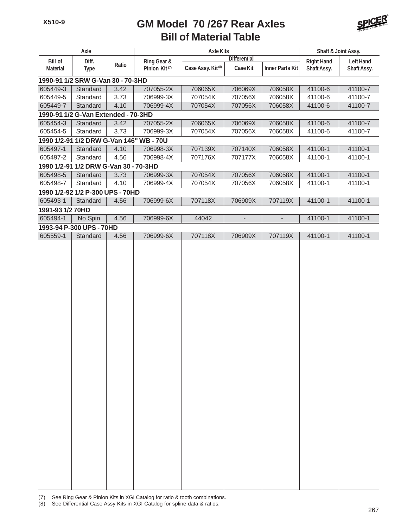

|                  | Axle                                  |       |                                         | <b>Axle Kits</b>              |                          |                          | Shaft & Joint Assy. |                  |
|------------------|---------------------------------------|-------|-----------------------------------------|-------------------------------|--------------------------|--------------------------|---------------------|------------------|
| <b>Bill of</b>   | Diff.                                 |       | Ring Gear &                             |                               | <b>Differential</b>      |                          | <b>Right Hand</b>   | <b>Left Hand</b> |
| <b>Material</b>  | <b>Type</b>                           | Ratio | Pinion Kit <sup>(7)</sup>               | Case Assy. Kit <sup>(8)</sup> | <b>Case Kit</b>          | <b>Inner Parts Kit</b>   | Shaft Assy.         | Shaft Assy.      |
|                  | 1990-91 1/2 SRW G-Van 30 - 70-3HD     |       |                                         |                               |                          |                          |                     |                  |
| 605449-3         | Standard                              | 3.42  | 707055-2X                               | 706065X                       | 706069X                  | 706058X                  | 41100-6             | 41100-7          |
| 605449-5         | Standard                              | 3.73  | 706999-3X                               | 707054X                       | 707056X                  | 706058X                  | 41100-6             | 41100-7          |
| 605449-7         | Standard                              | 4.10  | 706999-4X                               | 707054X                       | 707056X                  | 706058X                  | 41100-6             | 41100-7          |
|                  | 1990-91 1/2 G-Van Extended - 70-3HD   |       |                                         |                               |                          |                          |                     |                  |
| 605454-3         | Standard                              | 3.42  | 707055-2X                               | 706065X                       | 706069X                  | 706058X                  | 41100-6             | 41100-7          |
| 605454-5         | Standard                              | 3.73  | 706999-3X                               | 707054X                       | 707056X                  | 706058X                  | 41100-6             | 41100-7          |
|                  |                                       |       | 1990 1/2-91 1/2 DRW G-Van 146" WB - 70U |                               |                          |                          |                     |                  |
| 605497-1         | Standard                              | 4.10  | 706998-3X                               | 707139X                       | 707140X                  | 706058X                  | 41100-1             | 41100-1          |
| 605497-2         | Standard                              | 4.56  | 706998-4X                               | 707176X                       | 707177X                  | 706058X                  | 41100-1             | 41100-1          |
|                  | 1990 1/2-91 1/2 DRW G-Van 30 - 70-3HD |       |                                         |                               |                          |                          |                     |                  |
| 605498-5         | Standard                              | 3.73  | 706999-3X                               | 707054X                       | 707056X                  | 706058X                  | 41100-1             | 41100-1          |
| 605498-7         | Standard                              | 4.10  | 706999-4X                               | 707054X                       | 707056X                  | 706058X                  | 41100-1             | 41100-1          |
|                  | 1990 1/2-92 1/2 P-300 UPS - 70HD      |       |                                         |                               |                          |                          |                     |                  |
| 605493-1         | Standard                              | 4.56  | 706999-6X                               | 707118X                       | 706909X                  | 707119X                  | 41100-1             | 41100-1          |
| 1991-93 1/2 70HD |                                       |       |                                         |                               |                          |                          |                     |                  |
| 605494-1         | No Spin                               | 4.56  | 706999-6X                               | 44042                         | $\overline{\phantom{a}}$ | $\overline{\phantom{a}}$ | 41100-1             | 41100-1          |
|                  | 1993-94 P-300 UPS - 70HD              |       |                                         |                               |                          |                          |                     |                  |
| 605559-1         | Standard                              | 4.56  | 706999-6X                               | 707118X                       | 706909X                  | 707119X                  | 41100-1             | 41100-1          |
|                  |                                       |       |                                         |                               |                          |                          |                     |                  |
|                  |                                       |       |                                         |                               |                          |                          |                     |                  |
|                  |                                       |       |                                         |                               |                          |                          |                     |                  |
|                  |                                       |       |                                         |                               |                          |                          |                     |                  |
|                  |                                       |       |                                         |                               |                          |                          |                     |                  |
|                  |                                       |       |                                         |                               |                          |                          |                     |                  |
|                  |                                       |       |                                         |                               |                          |                          |                     |                  |
|                  |                                       |       |                                         |                               |                          |                          |                     |                  |
|                  |                                       |       |                                         |                               |                          |                          |                     |                  |
|                  |                                       |       |                                         |                               |                          |                          |                     |                  |
|                  |                                       |       |                                         |                               |                          |                          |                     |                  |
|                  |                                       |       |                                         |                               |                          |                          |                     |                  |
|                  |                                       |       |                                         |                               |                          |                          |                     |                  |
|                  |                                       |       |                                         |                               |                          |                          |                     |                  |
|                  |                                       |       |                                         |                               |                          |                          |                     |                  |
|                  |                                       |       |                                         |                               |                          |                          |                     |                  |
|                  |                                       |       |                                         |                               |                          |                          |                     |                  |
|                  |                                       |       |                                         |                               |                          |                          |                     |                  |
|                  |                                       |       |                                         |                               |                          |                          |                     |                  |
|                  |                                       |       |                                         |                               |                          |                          |                     |                  |
|                  |                                       |       |                                         |                               |                          |                          |                     |                  |
|                  |                                       |       |                                         |                               |                          |                          |                     |                  |
|                  |                                       |       |                                         |                               |                          |                          |                     |                  |
|                  |                                       |       |                                         |                               |                          |                          |                     |                  |
|                  |                                       |       |                                         |                               |                          |                          |                     |                  |
|                  |                                       |       |                                         |                               |                          |                          |                     |                  |
|                  |                                       |       |                                         |                               |                          |                          |                     |                  |
|                  |                                       |       |                                         |                               |                          |                          |                     |                  |
|                  |                                       |       |                                         |                               |                          |                          |                     |                  |
|                  |                                       |       |                                         |                               |                          |                          |                     |                  |

(7) See Ring Gear & Pinion Kits in XGI Catalog for ratio & tooth combinations.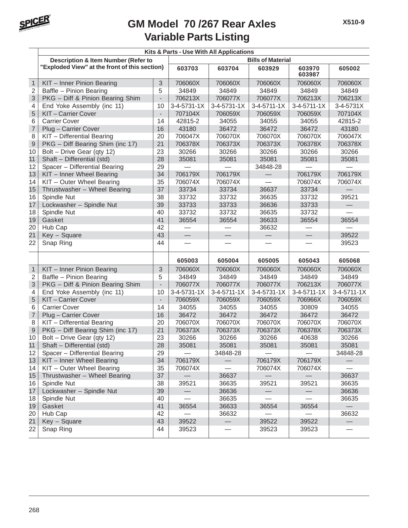

|                |                                                |                          | Kits & Parts - Use With All Applications |                               |               |                          |                          |  |  |
|----------------|------------------------------------------------|--------------------------|------------------------------------------|-------------------------------|---------------|--------------------------|--------------------------|--|--|
|                | <b>Description &amp; Item Number (Refer to</b> | <b>Bills of Material</b> |                                          |                               |               |                          |                          |  |  |
|                | "Exploded View" at the front of this section)  |                          | 603703                                   | 603704                        | 603929        | 603970<br>603987         | 605002                   |  |  |
| $\mathbf{1}$   | KIT - Inner Pinion Bearing                     | 3                        | 706060X                                  | 706060X                       | 706060X       | 706060X                  | 706060X                  |  |  |
| $\overline{2}$ | Baffle - Pinion Bearing                        | 5                        | 34849                                    | 34849                         | 34849         | 34849                    | 34849                    |  |  |
| 3              | PKG - Diff & Pinion Bearing Shim               | $\overline{\phantom{a}}$ | 706213X                                  | 706077X                       | 706077X       | 706213X                  | 706213X                  |  |  |
| 4              | End Yoke Assembly (inc 11)                     | 10                       | 3-4-5731-1X                              | 3-4-5731-1X                   | $3-4-5711-1X$ | $3-4-5711-1X$            | $3 - 4 - 5731X$          |  |  |
| 5              | KIT-Carrier Cover                              | $\overline{\phantom{a}}$ | 707104X                                  | 706059X                       | 706059X       | 706059X                  | 707104X                  |  |  |
| 6              | <b>Carrier Cover</b>                           | 14                       | 42815-2                                  | 34055                         | 34055         | 34055                    | 42815-2                  |  |  |
| $\overline{7}$ | Plug - Carrier Cover                           | 16                       | 43180                                    | 36472                         | 36472         | 36472                    | 43180                    |  |  |
| 8              | KIT - Differential Bearing                     | 20                       | 706047X                                  | 706070X                       | 706070X       | 706070X                  | 706047X                  |  |  |
| 9              | PKG - Diff Bearing Shim (inc 17)               | 21                       | 706378X                                  | 706373X                       | 706373X       | 706378X                  | 706378X                  |  |  |
| 10             | Bolt - Drive Gear (qty 12)                     | 23                       | 30266                                    | 30266                         | 30266         | 30266                    | 30266                    |  |  |
| 11             | Shaft - Differential (std)                     | 28                       | 35081                                    | 35081                         | 35081         | 35081                    | 35081                    |  |  |
| 12             | Spacer - Differential Bearing                  | 29                       |                                          |                               | 34848-28      |                          |                          |  |  |
| 13             | KIT - Inner Wheel Bearing                      | 34                       | 706179X                                  | 706179X                       |               | 706179X                  | 706179X                  |  |  |
| 14             | KIT - Outer Wheel Bearing                      | 35                       | 706074X                                  | 706074X                       |               | 706074X                  | 706074X                  |  |  |
| 15             | Thrustwasher - Wheel Bearing                   | 37                       | 33734                                    | 33734                         | 36637         | 33734                    |                          |  |  |
| 16             | Spindle Nut                                    | 38                       | 33732                                    | 33732                         | 36635         | 33732                    | 39521                    |  |  |
| 17             | Lockwasher - Spindle Nut                       | 39                       | 33733                                    | 33733                         | 36636         | 33733                    |                          |  |  |
| 18             | Spindle Nut                                    | 40                       | 33732                                    | 33732                         | 36635         | 33732                    |                          |  |  |
| 19             | Gasket                                         | 41                       | 36554                                    | 36554                         | 36633         | 36554                    | 36554                    |  |  |
| 20             | Hub Cap                                        | 42                       |                                          |                               | 36632         |                          |                          |  |  |
| 21             | Key - Square                                   | 43                       | $\equiv$                                 |                               |               |                          | 39522                    |  |  |
| 22             | Snap Ring                                      | 44                       |                                          |                               |               |                          | 39523                    |  |  |
|                |                                                |                          | 605003                                   | 605004                        | 605005        | 605043                   | 605068                   |  |  |
| $\mathbf{1}$   | KIT - Inner Pinion Bearing                     | 3                        | 706060X                                  | 706060X                       | 706060X       | 706060X                  | 706060X                  |  |  |
| $\overline{2}$ | Baffle - Pinion Bearing                        | 5                        | 34849                                    | 34849                         | 34849         | 34849                    | 34849                    |  |  |
| 3              | PKG - Diff & Pinion Bearing Shim               | $\overline{\phantom{a}}$ | 706077X                                  | 706077X                       | 706077X       | 706213X                  | 706077X                  |  |  |
| 4              | End Yoke Assembly (inc 11)                     | 10                       | 3-4-5731-1X                              | $3-4-5711-1X$                 | 3-4-5731-1X   | $3-4-5711-1X$            | 3-4-5711-1X              |  |  |
| 5              | KIT-Carrier Cover                              | $\overline{\phantom{a}}$ | 706059X                                  | 706059X                       | 706059X       | 706966X                  | 706059X                  |  |  |
| 6              | <b>Carrier Cover</b>                           | 14                       | 34055                                    | 34055                         | 34055         | 30809                    | 34055                    |  |  |
| $\overline{7}$ | Plug - Carrier Cover                           | 16                       | 36472                                    | 36472                         | 36472         | 36472                    | 36472                    |  |  |
| 8              | KIT - Differential Bearing                     | 20                       | 706070X                                  | 706070X                       | 706070X       | 706070X                  | 706070X                  |  |  |
| $\mathsf 9$    | PKG - Diff Bearing Shim (inc 17)               | 21                       | 706373X                                  | 706373X                       | 706373X       | 706378X                  | 706373X                  |  |  |
| 10             | Bolt - Drive Gear (qty 12)                     | 23                       | 30266                                    | 30266                         | 30266         | 40638                    | 30266                    |  |  |
| 11             | Shaft - Differential (std)                     | 28                       | 35081                                    | 35081                         | 35081         | 35081                    | 35081                    |  |  |
| 12             | Spacer - Differential Bearing                  | 29                       |                                          | 34848-28                      |               |                          | 34848-28                 |  |  |
| 13             | KIT - Inner Wheel Bearing                      | 34                       | 706179X                                  | $\overline{\phantom{0}}$      | 706179X       | 706179X                  |                          |  |  |
| 14             | KIT - Outer Wheel Bearing                      | 35                       | 706074X                                  | $\overbrace{\phantom{aaaaa}}$ | 706074X       | 706074X                  |                          |  |  |
| 15             | Thrustwasher - Wheel Bearing                   | 37                       | $\qquad \qquad -$                        | 36637                         |               | $\overline{\phantom{0}}$ | 36637                    |  |  |
| 16             | Spindle Nut                                    | 38                       | 39521                                    | 36635                         | 39521         | 39521                    | 36635                    |  |  |
| 17             | Lockwasher - Spindle Nut                       | 39                       | $\overline{\phantom{0}}$                 | 36636                         |               | $\overline{\phantom{0}}$ | 36636                    |  |  |
| 18             | Spindle Nut                                    | 40                       |                                          | 36635                         |               |                          | 36635                    |  |  |
| 19             | Gasket                                         | 41                       | 36554                                    | 36633                         | 36554         | 36554                    | $\overline{\phantom{0}}$ |  |  |
| 20             | Hub Cap                                        | 42                       |                                          | 36632                         |               |                          | 36632                    |  |  |
| 21             | Key - Square                                   | 43                       | 39522                                    | $\overline{\phantom{0}}$      | 39522         | 39522                    | $\qquad \qquad -$        |  |  |
| 22             | Snap Ring                                      | 44                       | 39523                                    |                               | 39523         | 39523                    |                          |  |  |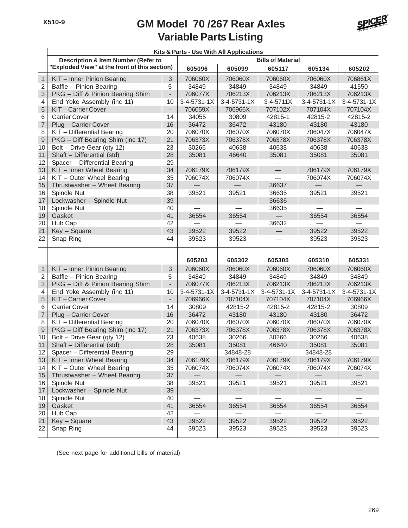

|                |                                                |                          | Kits & Parts - Use With All Applications |               |                          |                          |                          |  |  |
|----------------|------------------------------------------------|--------------------------|------------------------------------------|---------------|--------------------------|--------------------------|--------------------------|--|--|
|                | <b>Description &amp; Item Number (Refer to</b> |                          |                                          |               | <b>Bills of Material</b> |                          |                          |  |  |
|                | "Exploded View" at the front of this section)  |                          | 605096                                   | 605099        | 605117                   | 605134                   | 605202                   |  |  |
| $\mathbf{1}$   | KIT - Inner Pinion Bearing                     | 3                        | 706060X                                  | 706060X       | 706060X                  | 706060X                  | 706861X                  |  |  |
| $\overline{2}$ | Baffle - Pinion Bearing                        | 5                        | 34849                                    | 34849         | 34849                    | 34849                    | 41550                    |  |  |
| 3              | PKG - Diff & Pinion Bearing Shim               | $\overline{\phantom{0}}$ | 706077X                                  | 706213X       | 706213X                  | 706213X                  | 706213X                  |  |  |
| 4              | End Yoke Assembly (inc 11)                     | 10                       | $3 - 4 - 5731 - 1X$                      | $3-4-5731-1X$ | $3 - 4 - 5711X$          | $3 - 4 - 5731 - 1X$      | 3-4-5731-1X              |  |  |
| 5              | KIT-Carrier Cover                              | $\overline{\phantom{0}}$ | 706059X                                  | 706966X       | 707102X                  | 707104X                  | 707104X                  |  |  |
| 6              | <b>Carrier Cover</b>                           | 14                       | 34055                                    | 30809         | 42815-1                  | 42815-2                  | 42815-2                  |  |  |
| $\overline{7}$ | Plug - Carrier Cover                           | 16                       | 36472                                    | 36472         | 43180                    | 43180                    | 43180                    |  |  |
| 8              | KIT - Differential Bearing                     | 20                       | 706070X                                  | 706070X       | 706070X                  | 706047X                  | 706047X                  |  |  |
| 9              | PKG - Diff Bearing Shim (inc 17)               | 21                       | 706373X                                  | 706378X       | 706378X                  | 706378X                  | 706378X                  |  |  |
| 10             | Bolt - Drive Gear (qty 12)                     | 23                       | 30266                                    | 40638         | 40638                    | 40638                    | 40638                    |  |  |
| 11             | Shaft - Differential (std)                     | 28                       | 35081                                    | 46640         | 35081                    | 35081                    | 35081                    |  |  |
| 12             | Spacer - Differential Bearing                  | 29                       |                                          |               |                          |                          |                          |  |  |
| 13             | KIT - Inner Wheel Bearing                      | 34                       | 706179X                                  | 706179X       |                          | 706179X                  | 706179X                  |  |  |
| 14             | KIT - Outer Wheel Bearing                      | 35                       | 706074X                                  | 706074X       |                          | 706074X                  | 706074X                  |  |  |
| 15             | Thrustwasher - Wheel Bearing                   | 37                       |                                          |               | 36637                    |                          |                          |  |  |
| 16             | Spindle Nut                                    | 38                       | 39521                                    | 39521         | 36635                    | 39521                    | 39521                    |  |  |
| 17             | Lockwasher - Spindle Nut                       | 39                       |                                          |               | 36636                    |                          |                          |  |  |
| 18             | Spindle Nut                                    | 40                       |                                          |               | 36635                    |                          |                          |  |  |
| 19             | Gasket                                         | 41                       | 36554                                    | 36554         |                          | 36554                    | 36554                    |  |  |
| 20             | Hub Cap                                        | 42                       |                                          |               | 36632                    |                          |                          |  |  |
| 21             | Key - Square                                   | 43                       | 39522                                    | 39522         |                          | 39522                    | 39522                    |  |  |
| 22             | Snap Ring                                      | 44                       | 39523                                    | 39523         |                          | 39523                    | 39523                    |  |  |
|                |                                                |                          |                                          |               |                          |                          |                          |  |  |
|                |                                                |                          | 605203                                   | 605302        | 605305                   | 605310                   | 605331                   |  |  |
| $\mathbf{1}$   | KIT - Inner Pinion Bearing                     | 3                        | 706060X                                  | 706060X       | 706060X                  | 706060X                  | 706060X                  |  |  |
| $\overline{c}$ | Baffle - Pinion Bearing                        | 5                        | 34849                                    | 34849         | 34849                    | 34849                    | 34849                    |  |  |
| 3              | PKG - Diff & Pinion Bearing Shim               | $\overline{\phantom{0}}$ | 706077X                                  | 706213X       | 706213X                  | 706213X                  | 706213X                  |  |  |
| 4              | End Yoke Assembly (inc 11)                     | 10                       | 3-4-5731-1X                              | 3-4-5731-1X   | 3-4-5731-1X              | $3-4-5731-1X$            | 3-4-5731-1X              |  |  |
| 5              | KIT-Carrier Cover                              | $\overline{\phantom{0}}$ | 706966X                                  | 707104X       | 707104X                  | 707104X                  | 706966X                  |  |  |
| 6              | <b>Carrier Cover</b>                           | 14                       | 30809                                    | 42815-2       | 42815-2                  | 42815-2                  | 30809                    |  |  |
| $\overline{7}$ | Plug - Carrier Cover                           | 16                       | 36472                                    | 43180         | 43180                    | 43180                    | 36472                    |  |  |
| 8              | KIT - Differential Bearing                     | 20                       | 706070X                                  | 706070X       | 706070X                  | 706070X                  | 706070X                  |  |  |
| $\mathsf 9$    | PKG - Diff Bearing Shim (inc 17)               | 21                       | 706373X                                  | 706378X       | 706378X                  | 706378X                  | 706378X                  |  |  |
| 10             | Bolt - Drive Gear (qty 12)                     | 23                       | 40638                                    | 30266         | 30266                    | 30266                    | 40638                    |  |  |
| 11             | Shaft - Differential (std)                     | 28                       | 35081                                    | 35081         | 46640                    | 35081                    | 35081                    |  |  |
| 12             | Spacer - Differential Bearing                  | 29                       |                                          | 34848-28      |                          | 34848-28                 |                          |  |  |
| 13             | KIT - Inner Wheel Bearing                      | 34                       | 706179X                                  | 706179X       | 706179X                  | 706179X                  | 706179X                  |  |  |
| 14             | KIT - Outer Wheel Bearing                      | 35                       | 706074X                                  | 706074X       | 706074X                  | 706074X                  | 706074X                  |  |  |
| 15             | Thrustwasher - Wheel Bearing                   | 37                       |                                          |               |                          | $\overline{\phantom{m}}$ | $\overline{\phantom{0}}$ |  |  |
| 16             | Spindle Nut                                    | 38                       | 39521                                    | 39521         | 39521                    | 39521                    | 39521                    |  |  |
| 17             | Lockwasher - Spindle Nut                       | 39                       |                                          |               | $\overline{\phantom{0}}$ | $\overline{\phantom{m}}$ |                          |  |  |
| 18             | Spindle Nut                                    | 40                       |                                          |               |                          | $\equiv$                 | $\overline{\phantom{0}}$ |  |  |
| 19             | Gasket                                         | 41                       | 36554                                    | 36554         | 36554                    | 36554                    | 36554                    |  |  |
| 20             | Hub Cap                                        | 42                       |                                          |               |                          |                          |                          |  |  |
| 21             | Key - Square                                   | 43                       | 39522                                    | 39522         | 39522                    | 39522                    | 39522                    |  |  |
| 22             | Snap Ring                                      | 44                       | 39523                                    | 39523         | 39523                    | 39523                    | 39523                    |  |  |
|                |                                                |                          |                                          |               |                          |                          |                          |  |  |

(See next page for additional bills of material)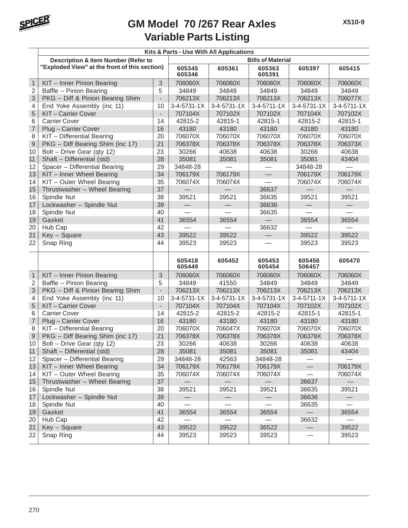

|                |                                                |                          | Kits & Parts - Use With All Applications |             |                          |                          |               |  |  |
|----------------|------------------------------------------------|--------------------------|------------------------------------------|-------------|--------------------------|--------------------------|---------------|--|--|
|                | <b>Description &amp; Item Number (Refer to</b> | <b>Bills of Material</b> |                                          |             |                          |                          |               |  |  |
|                | "Exploded View" at the front of this section)  |                          | 605345<br>605346                         | 605361      | 605363<br>605391         | 605397                   | 605415        |  |  |
| $\mathbf{1}$   | KIT - Inner Pinion Bearing                     | 3                        | 706060X                                  | 706060X     | 706060X                  | 706060X                  | 706060X       |  |  |
| $\overline{2}$ | Baffle - Pinion Bearing                        | 5                        | 34849                                    | 34849       | 34849                    | 34849                    | 34849         |  |  |
| 3              | PKG - Diff & Pinion Bearing Shim               | $\overline{\phantom{a}}$ | 706213X                                  | 706213X     | 706213X                  | 706213X                  | 706077X       |  |  |
| 4              | End Yoke Assembly (inc 11)                     | 10                       | 3-4-5731-1X                              | 3-4-5731-1X | 3-4-5711-1X              | 3-4-5731-1X              | $3-4-5711-1X$ |  |  |
| 5              | KIT-Carrier Cover                              | $\overline{\phantom{a}}$ | 707104X                                  | 707102X     | 707102X                  | 707104X                  | 707102X       |  |  |
| 6              | <b>Carrier Cover</b>                           | 14                       | 42815-2                                  | 42815-1     | 42815-1                  | 42815-2                  | 42815-1       |  |  |
| $\overline{7}$ | Plug - Carrier Cover                           | 16                       | 43180                                    | 43180       | 43180                    | 43180                    | 43180         |  |  |
| 8              | KIT - Differential Bearing                     | 20                       | 706070X                                  | 706070X     | 706070X                  | 706070X                  | 706070X       |  |  |
| $\mathsf g$    | PKG - Diff Bearing Shim (inc 17)               | 21                       | 706378X                                  | 706378X     | 706378X                  | 706378X                  | 706373X       |  |  |
| 10             | Bolt - Drive Gear (qty 12)                     | 23                       | 30266                                    | 40638       | 40638                    | 30266                    | 40638         |  |  |
| 11             | Shaft - Differential (std)                     | 28                       | 35081                                    | 35081       | 35081                    | 35081                    | 43404         |  |  |
| 12             | Spacer - Differential Bearing                  | 29                       | 34848-28                                 |             |                          | 34848-28                 |               |  |  |
| 13             | KIT - Inner Wheel Bearing                      | 34                       | 706179X                                  | 706179X     | $\qquad \qquad \qquad$   | 706179X                  | 706179X       |  |  |
| 14             | KIT - Outer Wheel Bearing                      | 35                       | 706074X                                  | 706074X     |                          | 706074X                  | 706074X       |  |  |
| 15             | Thrustwasher - Wheel Bearing                   | 37                       |                                          |             | 36637                    |                          |               |  |  |
| 16             | Spindle Nut                                    | 38                       | 39521                                    | 39521       | 36635                    | 39521                    | 39521         |  |  |
| 17             | Lockwasher - Spindle Nut                       | 39                       |                                          |             | 36636                    | $\overline{\phantom{0}}$ |               |  |  |
| 18             | Spindle Nut                                    | 40                       |                                          |             | 36635                    |                          |               |  |  |
| 19             | Gasket                                         | 41                       | 36554                                    | 36554       |                          | 36554                    | 36554         |  |  |
| 20             | Hub Cap                                        | 42                       |                                          |             | 36632                    |                          |               |  |  |
| 21             | Key - Square                                   | 43                       | 39522                                    | 39522       |                          | 39522                    | 39522         |  |  |
| 22             | Snap Ring                                      | 44                       | 39523                                    | 39523       |                          | 39523                    | 39523         |  |  |
|                |                                                |                          | 605418<br>605449                         | 605452      | 605453<br>605454         | 605456<br>506457         | 605470        |  |  |
| $\mathbf{1}$   | KIT - Inner Pinion Bearing                     | 3                        | 706060X                                  | 706060X     | 706060X                  | 706060X                  | 706060X       |  |  |
| $\overline{2}$ | Baffle - Pinion Bearing                        | 5                        | 34849                                    | 41550       | 34849                    | 34849                    | 34849         |  |  |
| 3              | PKG - Diff & Pinion Bearing Shim               | $\overline{\phantom{a}}$ | 706213X                                  | 706213X     | 706213X                  | 706213X                  | 706213X       |  |  |
| 4              | End Yoke Assembly (inc 11)                     | 10                       | $3 - 4 - 5731 - 1X$                      | 3-4-5731-1X | $3 - 4 - 5731 - 1X$      | $3-4-5711-1X$            | $3-4-5711-1X$ |  |  |
| 5              | KIT-Carrier Cover                              | $\overline{\phantom{a}}$ | 707104X                                  | 707104X     | 707104X                  | 707102X                  | 707102X       |  |  |
| 6              | <b>Carrier Cover</b>                           | 14                       | 42815-2                                  | 42815-2     | 42815-2                  | 42815-1                  | 42815-1       |  |  |
| $\overline{7}$ | Plug - Carrier Cover                           | 16                       | 43180                                    | 43180       | 43180                    | 43180                    | 43180         |  |  |
| 8              | KIT - Differential Bearing                     | 20                       | 706070X                                  | 706047X     | 706070X                  | 706070X                  | 706070X       |  |  |
| 9              | PKG - Diff Bearing Shim (inc 17)               | 21                       | 706378X                                  | 706378X     | 706378X                  | 706378X                  | 706378X       |  |  |
| 10             | Bolt - Drive Gear (qty 12)                     | 23                       | 30266                                    | 40638       | 30266                    | 40638                    | 40638         |  |  |
| 11             | Shaft - Differential (std)                     | 28                       | 35081                                    | 35081       | 35081                    | 35081                    | 43404         |  |  |
| 12             | Spacer - Differential Bearing                  | 29                       | 34848-28                                 | 42563       | 34848-28                 |                          |               |  |  |
| 13             | KIT - Inner Wheel Bearing                      | 34                       | 706179X                                  | 706179X     | 706179X                  |                          | 706179X       |  |  |
| 14             | KIT - Outer Wheel Bearing                      | 35                       | 706074X                                  | 706074X     | 706074X                  |                          | 706074X       |  |  |
| 15             | Thrustwasher - Wheel Bearing                   | 37                       |                                          |             | $\overline{\phantom{0}}$ | 36637                    |               |  |  |
| 16             | Spindle Nut                                    | 38                       | 39521                                    | 39521       | 39521                    | 36635                    | 39521         |  |  |
| 17             | Lockwasher - Spindle Nut                       | 39                       |                                          |             |                          | 36636                    |               |  |  |
| 18             | Spindle Nut                                    | 40                       |                                          |             |                          | 36635                    |               |  |  |
| 19             | Gasket                                         | 41                       | 36554                                    | 36554       | 36554                    |                          | 36554         |  |  |
| 20             | Hub Cap                                        | 42                       |                                          |             |                          | 36632                    |               |  |  |
| 21             | Key - Square                                   | 43                       | 39522                                    | 39522       | 36522                    |                          | 39522         |  |  |
| 22             | Snap Ring                                      | 44                       | 39523                                    | 39523       | 39523                    |                          | 39523         |  |  |